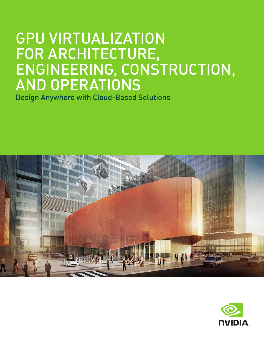# GPU VIRTUALIZATION FOR ARCHITECTURE, ENGINEERING, CONSTRUCTION, AND OPERATIONS

Design Anywhere with Cloud-Based Solutions



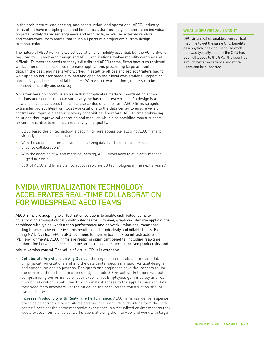In the architecture, engineering, and construction, and operations (AECO) industry, firms often have multiple global and field offices that routinely collaborate on individual projects. Widely dispersed engineers and architects, as well as external vendors and contractors, form teams that touch all parts of a project cycle, from design to construction.

The nature of AECO work makes collaboration and mobility essential, but the PC hardware required to run high-end design and AECO applications makes mobility complex and difficult. To meet the needs of today's distributed AECO teams, firms have turn to virtual workstations to run resource intensive applications processing large amounts of data. In the past, engineers who worked in satellite offices and project trailers had to wait up to an hour for models to load and open on their local workstations—impacting productivity and reducing billable hours. With virtual workstations, models can be accessed efficiently and securely.

Moreover, version control is an issue that complicates matters. Coordinating across locations and servers to make sure everyone has the latest version of a design is a slow and arduous process that can cause confusion and errors. AECO firms struggle to transfer project files from local workstations to the data center to ensure version control and improve disaster recovery capabilities. Therefore, AECO firms embracing solutions that improve collaboration and mobility, while also providing robust support for version control to enhance productivity and quality.

- > Cloud based design technology is becoming more accessible, allowing AECO firms to virtually design and construct.<sup>1</sup>
- > With the adoption of remote work, centralizing data has been critical for enabling effective collaboration.2
- With the adoption of AI and machine learning, AECO firms need to efficiently manage large data sets.3
- 55% of AECO and firms plan to adopt real-time 3D technologies in the next 2 years.<sup>1</sup>

### NVIDIA VIRTUALIZATION TECHNOLOGY ACCELERATES REAL-TIME COLLABORATION FOR WIDESPREAD AECO TEAMS

AECO firms are adopting to virtualization solutions to enable distributed teams to collaboration amongst globally distributed teams. However, graphics-intensive applications, combined with typical workstation performance and network limitations, mean that loading times can be excessive. This results in lost productivity and billable hours. By adding NVIDIA virtual GPU (vGPU) solutions to their virtual desktop infrastructure (VDI) environments, AECO firms are realizing significant benefits, including real-time collaboration between dispersed teams and external partners, improved productivity, and robust version control. The value of virtual GPUs is extensive:

- Collaborate Anywhere on Any Device. Shifting design models and moving data off physical workstations and into the data center secures mission-critical designs and speeds the design process. Designers and engineers have the freedom to use the device of their choice to access fully-capable 3D virtual workstations without compromising performance or user experience. Employees gain mobility and realtime collaboration capabilities through instant access to the applications and data they need from anywhere—at the office, on the road, on the construction site, or even at home.
- > Increase Productivity with Real-Time Performance. AECO firms can deliver superior graphics performance to architects and engineers on virtual desktops from the data center. Users get the same responsive experience in a virtualized environment as they would expect from a physical workstation, allowing them to view and work with large

### WHAT IS GPU VIRTUALIZATION?

GPU virtualization enables every virtual machine to get the same GPU benefits as a physical desktop. Because work that was typically done by the CPU has been offloaded to the GPU, the user has a much better experience and more users can be supported.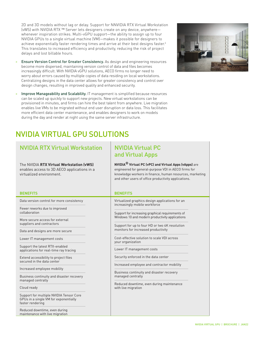2D and 3D models without lag or delay. Support for NNVIDIA RTX Virtual Workstation (vWS) with NVIDIA RTX ™ Server lets designers create on any device, anywhere whenever inspiration strikes. Multi-vGPU support—the ability to assign up to four NVIDIA GPUs to a single virtual machine (VM)—makes it possible for designers to achieve exponentially faster rendering times and arrive at their best designs faster.<sup>4</sup> This translates to increased efficiency and productivity, reducing the risk of project delays and lost billable hours.

- > Ensure Version Control for Greater Consistency. As design and engineering resources become more dispersed, maintaining version control of data and files becomes increasingly difficult. With NVIDIA vGPU solutions, AECO firms no longer need to worry about errors caused by multiple copies of data residing on local workstations. Centralizing designs in the data center allows for greater consistency and control over design changes, resulting in improved quality and enhanced security.
- > Improve Manageability and Scalability. IT management is simplified because resources can be scaled up quickly to support new projects. New virtual workstations can be provisioned in minutes, and firms can hire the best talent from anywhere. Live migration enables live VMs to be migrated without end user disruption or data loss. This facilitates more efficient data center maintenance, and enables designers to work on models during the day and render at night using the same server infrastructure.



### NVIDIA VIRTUAL GPU SOLUTIONS

Reduced downtime, even during maintenance with live migration

| <b>BENEFITS</b><br><b>BENEFITS</b><br>Data version control for more consistency<br>Virtualized graphics design applications for an<br>increasingly mobile workforce<br>Fewer reworks due to improved<br>collaboration<br>Support for increasing graphical requirements of<br>Windows 10 and modern productivity applications<br>More secure access for external<br>suppliers and contractors<br>Support for up to four HD or two 4K resolution<br>monitors for increased productivity<br>Data and designs are more secure<br>Cost-effective solution to scale VDI across<br>Lower IT management costs<br>your organization<br>Support the latest RTX-enabled<br>Lower IT management costs<br>applications for real-time ray tracing<br>Security enforced in the data center<br>Extend accessibility to project files<br>secured in the data center<br>Increased employee and contractor mobility<br>Increased employee mobility<br>Business continuity and disaster recovery<br>managed centrally<br>Business continuity and disaster recovery<br>managed centrally<br>Reduced downtime, even during maintenance<br>Cloud ready<br>with live migration<br>Support for multiple NVIDIA Tensor Core<br>GPUs in a single VM for exponentially | <b>NVIDIA RTX Virtual Workstation</b><br>The NVIDIA RTX Virtual Workstation (vWS)<br>enables access to 3D AECO applications in a<br>virtualized environment. | <b>NVIDIA Virtual PC</b><br>and Virtual Apps<br><b>NVIDIA<sup>®</sup> Virtual PC (vPC) and Virtual Apps (vApps)</b> are<br>engineered for general-purpose VDI in AECO firms for<br>knowledge workers in finance, human resources, marketing<br>and other users of office productivity applications. |
|--------------------------------------------------------------------------------------------------------------------------------------------------------------------------------------------------------------------------------------------------------------------------------------------------------------------------------------------------------------------------------------------------------------------------------------------------------------------------------------------------------------------------------------------------------------------------------------------------------------------------------------------------------------------------------------------------------------------------------------------------------------------------------------------------------------------------------------------------------------------------------------------------------------------------------------------------------------------------------------------------------------------------------------------------------------------------------------------------------------------------------------------------------------------------------------------------------------------------------------------|--------------------------------------------------------------------------------------------------------------------------------------------------------------|-----------------------------------------------------------------------------------------------------------------------------------------------------------------------------------------------------------------------------------------------------------------------------------------------------|
|                                                                                                                                                                                                                                                                                                                                                                                                                                                                                                                                                                                                                                                                                                                                                                                                                                                                                                                                                                                                                                                                                                                                                                                                                                            |                                                                                                                                                              |                                                                                                                                                                                                                                                                                                     |
| faster rendering                                                                                                                                                                                                                                                                                                                                                                                                                                                                                                                                                                                                                                                                                                                                                                                                                                                                                                                                                                                                                                                                                                                                                                                                                           |                                                                                                                                                              |                                                                                                                                                                                                                                                                                                     |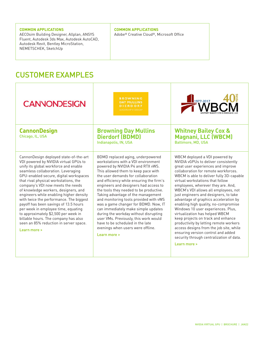#### **COMMON APPLICATIONS**

AECOsim Building Designer, Allplan, ANSYS Fluent, Autodesk 3ds Max, Autodesk AutoCAD, Autodesk Revit, Bentley MicroStation, NEMETSCHEK, SketchUp

### **COMMON APPLICATIONS**

Adobe® Creative Cloud®, Microsoft Office

### CUSTOMER EXAMPLES

| <b>CANNONDESIGN</b>                                                                                                                                                                                                                                                                                                                                                                                                                                                                                                                                                                                                                            | <b>BROWNING</b><br><b>DAY MULLINS</b><br><b>DIERDORF</b><br>LEADERSHIP + DESIGN'                                                                                                                                                                                                                                                                                                                                                                                                                                                                                                                                                                                     | $\frac{1}{2}$ <sup>1977-2017</sup> A/R/                                                                                                                                                                                                                                                                                                                                                                                                                                                                                                                                                                                                                                                                                                           |
|------------------------------------------------------------------------------------------------------------------------------------------------------------------------------------------------------------------------------------------------------------------------------------------------------------------------------------------------------------------------------------------------------------------------------------------------------------------------------------------------------------------------------------------------------------------------------------------------------------------------------------------------|----------------------------------------------------------------------------------------------------------------------------------------------------------------------------------------------------------------------------------------------------------------------------------------------------------------------------------------------------------------------------------------------------------------------------------------------------------------------------------------------------------------------------------------------------------------------------------------------------------------------------------------------------------------------|---------------------------------------------------------------------------------------------------------------------------------------------------------------------------------------------------------------------------------------------------------------------------------------------------------------------------------------------------------------------------------------------------------------------------------------------------------------------------------------------------------------------------------------------------------------------------------------------------------------------------------------------------------------------------------------------------------------------------------------------------|
| <b>CannonDesign</b><br>Chicago, IL, USA                                                                                                                                                                                                                                                                                                                                                                                                                                                                                                                                                                                                        | <b>Browning Day Mullins</b><br><b>Dierdorf (BDMD)</b><br>Indianapolis, IN, USA                                                                                                                                                                                                                                                                                                                                                                                                                                                                                                                                                                                       | <b>Whitney Bailey Cox &amp;</b><br><b>Magnani, LLC (WBCM)</b><br><b>Baltimore, MD, USA</b>                                                                                                                                                                                                                                                                                                                                                                                                                                                                                                                                                                                                                                                        |
| CannonDesign deployed state-of-the-art<br>VDI powered by NVIDIA virtual GPUs to<br>unify its global workforce and enable<br>seamless collaboration. Leveraging<br>GPU-enabled secure, digital workspaces<br>that rival physical workstations, the<br>company's VDI now meets the needs<br>of knowledge workers, designers, and<br>engineers while enabling higher density<br>with twice the performance. The biggest<br>payoff has been savings of 13.5 hours<br>per week in employee time, equating<br>to approximately \$2,500 per week in<br>billable hours. The company has also<br>seen an 85% reduction in server space.<br>Learn more > | BDMD replaced aging, underpowered<br>workstations with a VDI environment<br>powered by NVIDIA P4 and RTX vWS.<br>This allowed them to keep pace with<br>the user demands for collaboration<br>and efficiency while ensuring the firm's<br>engineers and designers had access to<br>the tools they needed to be productive.<br>Taking advantage of the management<br>and monitoring tools provided with vWS<br>was a game changer for BDMD. Now, IT<br>can immediately make simple updates<br>during the workday without disrupting<br>user VMs. Previously, this work would<br>have to be scheduled in the late<br>evenings when users were offline.<br>Learn more > | WBCM deployed a VDI powered by<br>NVIDIA vGPUs to deliver consistently<br>great user experiences and improve<br>collaboration for remote workforces.<br>WBCM is able to deliver fully 3D-capable<br>virtual workstations that follow<br>employees, wherever they are. And,<br>WBCM's VDI allows all employees, not<br>just engineers and designers, to take<br>advantage of graphics acceleration by<br>enabling high quality, no-compromise<br>Windows 10 user experiences. Plus,<br>virtualization has helped WBCM<br>keep projects on track and enhance<br>productivity by letting remote workers<br>access designs from the job site, while<br>ensuring version control and added<br>security through centralization of data.<br>Learn more > |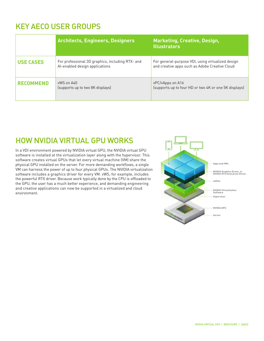## KEY AECO USER GROUPS

|                  | <b>Architects, Engineers, Designers</b>                                            | <b>Marketing, Creative, Design,</b><br><b>Illustrators</b>                                          |
|------------------|------------------------------------------------------------------------------------|-----------------------------------------------------------------------------------------------------|
| <b>USE CASES</b> | For professional 3D graphics, including RTX- and<br>Al-enabled design applications | For general-purpose VDI, using virtualized design<br>and creative apps such as Adobe Creative Cloud |
| <b>RECOMMEND</b> | vWS on A40<br>(supports up to two 8K displays)                                     | vPC/vApps on A16<br>(supports up to four HD or two 4K or one 5K displays)                           |

### HOW NVIDIA VIRTUAL GPU WORKS

In a VDI environment powered by NVIDIA virtual GPU, the NVIDIA virtual GPU software is installed at the virtualization layer along with the hypervisor. This software creates virtual GPUs that let every virtual machine (VM) share the physical GPU installed on the server. For more demanding workflows, a single VM can harness the power of up to four physical GPUs. The NVIDIA virtualization software includes a graphics driver for every VM. vWS, for example, includes the powerful RTX driver. Because work typically done by the CPU is offloaded to the GPU, the user has a much better experience, and demanding engineering and creative applications can now be supported in a virtualized and cloud environment.